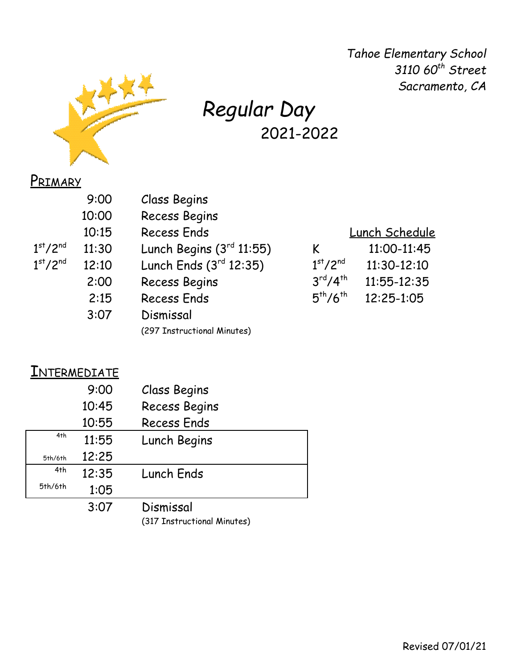*Tahoe Elementary School 3110 60 th Street Sacramento, CA*



*Regular Day* 2021-2022

### PRIMARY

|                                  | 9:00  | <b>Class Begins</b>         |                                  |                       |
|----------------------------------|-------|-----------------------------|----------------------------------|-----------------------|
|                                  | 10:00 | <b>Recess Begins</b>        |                                  |                       |
|                                  | 10:15 | <b>Recess Ends</b>          |                                  | <u>Lunch Schedule</u> |
| 1 <sup>st</sup> /2 <sup>nd</sup> | 11:30 | Lunch Begins $(3rd 11:55)$  | K                                | 11:00-11:45           |
| 1 <sup>st</sup> /2 <sup>nd</sup> | 12:10 | Lunch Ends $(3rd 12:35)$    | 1 <sup>st</sup> /2 <sup>nd</sup> | 11:30-12:10           |
|                                  | 2:00  | <b>Recess Begins</b>        | $3^{\text{rd}}/4^{\text{th}}$    | 11:55-12:35           |
|                                  | 2:15  | <b>Recess Ends</b>          | 5 <sup>th</sup> /6 <sup>th</sup> | 12:25-1:05            |
|                                  | 3:07  | Dismissal                   |                                  |                       |
|                                  |       | (297 Instructional Minutes) |                                  |                       |

## **INTERMEDIATE**

|         | 9:00  | <b>Class Begins</b>  |
|---------|-------|----------------------|
|         | 10:45 | <b>Recess Begins</b> |
|         | 10:55 | <b>Recess Ends</b>   |
| 4th     | 11:55 | Lunch Begins         |
| 5th/6th | 12:25 |                      |
| 4th     | 12:35 | <b>Lunch Ends</b>    |
| 5th/6th | 1:05  |                      |
|         | 3:07  | Dismissal            |
|         |       |                      |

(317 Instructional Minutes)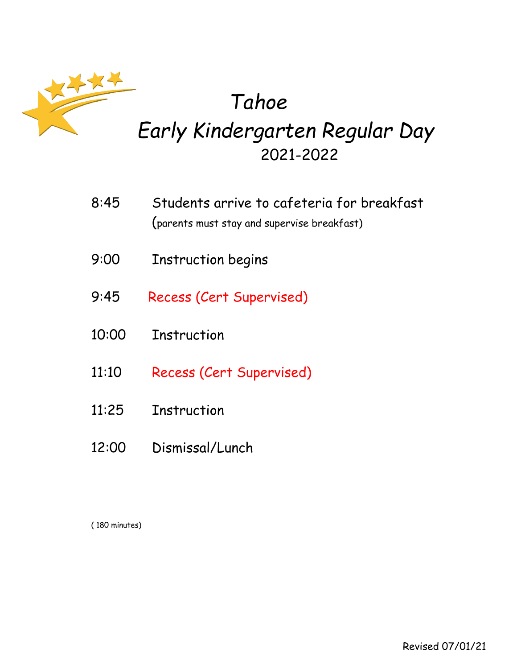

# *Tahoe Early Kindergarten Regular Day* 2021-2022

- 8:45 Students arrive to cafeteria for breakfast (parents must stay and supervise breakfast)
- 9:00 Instruction begins
- 9:45 Recess (Cert Supervised)
- 10:00 Instruction
- 11:10 Recess (Cert Supervised)
- 11:25 Instruction
- 12:00 Dismissal/Lunch

( 180 minutes)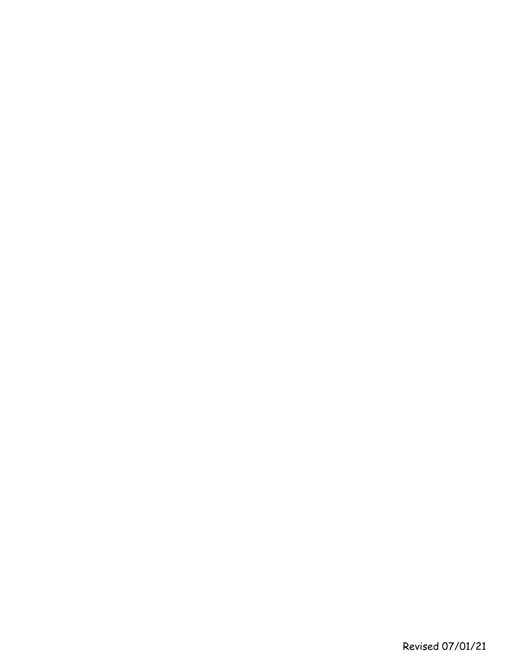Revised 07/01/21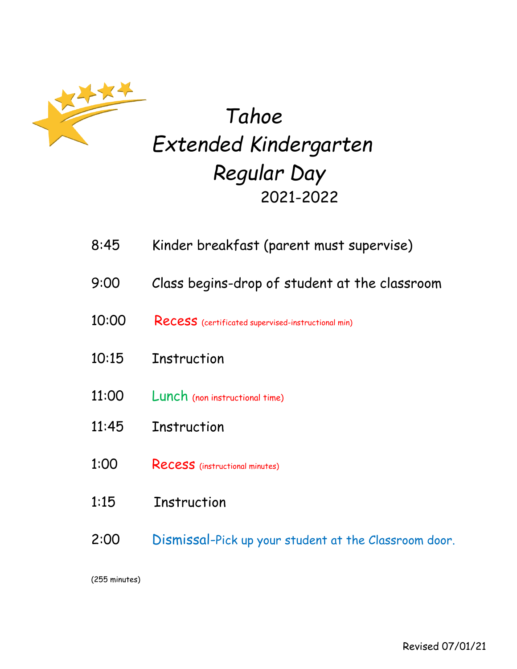

*Tahoe Extended Kindergarten Regular Day* 2021-2022

- 8:45 Kinder breakfast (parent must supervise)
- 9:00 Class begins-drop of student at the classroom
- 10:00 Recess (certificated supervised-instructional min)
- 10:15 Instruction
- 11:00 Lunch (non instructional time)
- 11:45 Instruction
- 1:00 Recess (instructional minutes)
- 1:15 Instruction
- 2:00 Dismissal-Pick up your student at the Classroom door.

(255 minutes)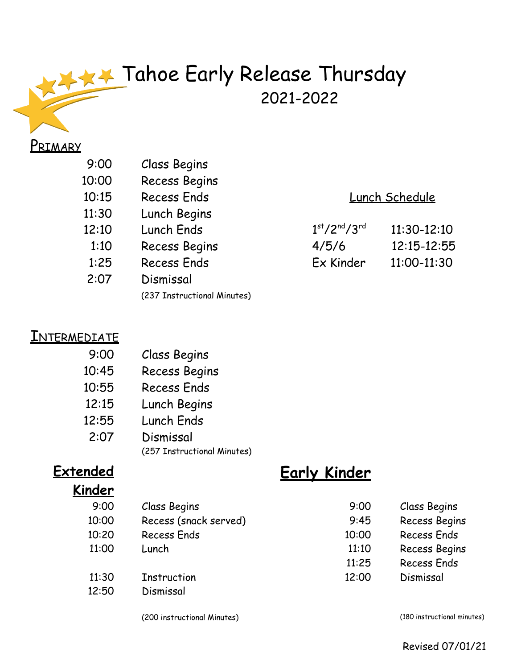# XXX Tahoe Early Release Thursday 2021-2022

#### PRIMARY

| 9:00  | Class Begins                |               |                |
|-------|-----------------------------|---------------|----------------|
| 10:00 | <b>Recess Begins</b>        |               |                |
| 10:15 | <b>Recess Ends</b>          |               | Lunch Schedule |
| 11:30 | Lunch Begins                |               |                |
| 12:10 | <b>Lunch Ends</b>           | $1st/2nd/3rd$ | $11:30-12:10$  |
| 1:10  | <b>Recess Begins</b>        | 4/5/6         | 12:15-12:55    |
| 1:25  | <b>Recess Ends</b>          | Ex Kinder     | 11:00-11:30    |
| 2:07  | Dismissal                   |               |                |
|       | (237 Instructional Minutes) |               |                |

| $1st/2nd/3rd$ | $11:30-12:10$ |
|---------------|---------------|
| 4/5/6         | 12:15-12:55   |
| Ex Kinder     | 11:00-11:30   |

#### **INTERMEDIATE**

| 9:00  | Class Begins                |
|-------|-----------------------------|
| 10:45 | <b>Recess Begins</b>        |
| 10:55 | <b>Recess Ends</b>          |
| 12:15 | Lunch Begins                |
| 12:55 | Lunch Ends                  |
| 2:07  | Dismissal                   |
|       | (257 Instructional Minutes) |

# **Extended**

### **Kinder**

| . . | KI<br>. .<br>ш<br>-<br>U.<br>- 1<br>. . |
|-----|-----------------------------------------|
|     |                                         |

| 9:00  | Class Begins          | 9:00  | Class Begins         |
|-------|-----------------------|-------|----------------------|
| 10:00 | Recess (snack served) | 9:45  | <b>Recess Begins</b> |
| 10:20 | <b>Recess Ends</b>    | 10:00 | <b>Recess Ends</b>   |
| 11:00 | Lunch                 | 11:10 | <b>Recess Begins</b> |
|       |                       | 11:25 | <b>Recess Ends</b>   |
| 11:30 | <b>Instruction</b>    | 12:00 | Dismissal            |
| 12:50 | Dismissal             |       |                      |

(200 instructional Minutes) (180 instructional minutes)

#### Revised 07/01/21